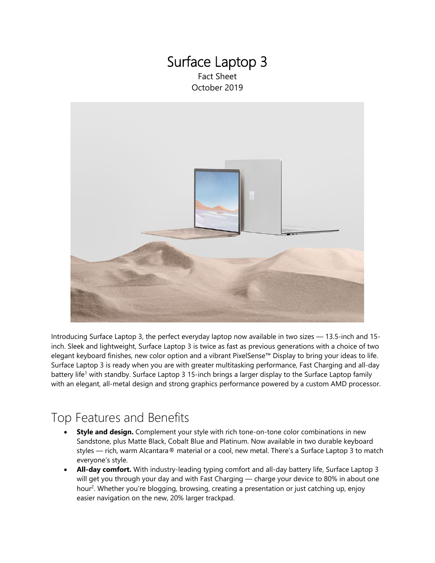### Surface Laptop 3 Fact Sheet October 2019



Introducing Surface Laptop 3, the perfect everyday laptop now available in two sizes — 13.5-inch and 15 inch. Sleek and lightweight, Surface Laptop 3 is twice as fast as previous generations with a choice of two elegant keyboard finishes, new color option and a vibrant PixelSense™ Display to bring your ideas to life. Surface Laptop 3 is ready when you are with greater multitasking performance, Fast Charging and all-day battery life<sup>1</sup> with standby. Surface Laptop 3 15-inch brings a larger display to the Surface Laptop family with an elegant, all-metal design and strong graphics performance powered by a custom AMD processor.

### Top Features and Benefits

- **Style and design.** Complement your style with rich tone-on-tone color combinations in new Sandstone, plus Matte Black, Cobalt Blue and Platinum. Now available in two durable keyboard styles — rich, warm Alcantara® material or a cool, new metal. There's a Surface Laptop 3 to match everyone's style.
- **All-day comfort.** With industry-leading typing comfort and all-day battery life, Surface Laptop 3 will get you through your day and with Fast Charging — charge your device to 80% in about one hour<sup>2</sup>. Whether you're blogging, browsing, creating a presentation or just catching up, enjoy easier navigation on the new, 20% larger trackpad.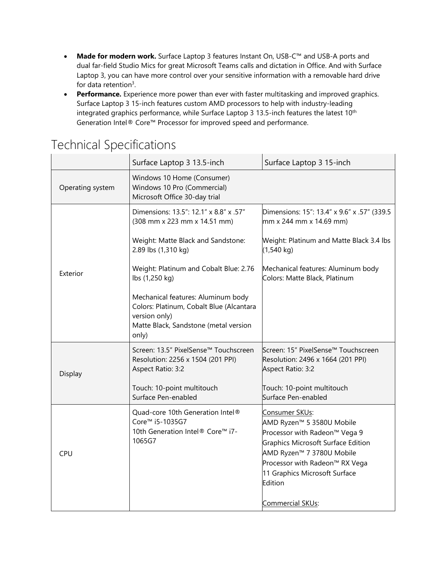- **Made for modern work.** Surface Laptop 3 features Instant On, USB-C™ and USB-A ports and dual far-field Studio Mics for great Microsoft Teams calls and dictation in Office. And with Surface Laptop 3, you can have more control over your sensitive information with a removable hard drive for data retention<sup>3</sup>.
- **Performance.** Experience more power than ever with faster multitasking and improved graphics. Surface Laptop 3 15-inch features custom AMD processors to help with industry-leading integrated graphics performance, while Surface Laptop 3 13.5-inch features the latest 10<sup>th</sup> Generation Intel® Core™ Processor for improved speed and performance.

|                  | Surface Laptop 3 13.5-inch                                                                                                                        | Surface Laptop 3 15-inch                                                                                                                                                                                                                    |
|------------------|---------------------------------------------------------------------------------------------------------------------------------------------------|---------------------------------------------------------------------------------------------------------------------------------------------------------------------------------------------------------------------------------------------|
| Operating system | Windows 10 Home (Consumer)<br>Windows 10 Pro (Commercial)<br>Microsoft Office 30-day trial                                                        |                                                                                                                                                                                                                                             |
| Exterior         | Dimensions: 13.5": 12.1" x 8.8" x .57"<br>(308 mm x 223 mm x 14.51 mm)                                                                            | Dimensions: 15": 13.4" x 9.6" x .57" (339.5)<br>mm x 244 mm x 14.69 mm)                                                                                                                                                                     |
|                  | Weight: Matte Black and Sandstone:<br>2.89 lbs (1,310 kg)                                                                                         | Weight: Platinum and Matte Black 3.4 lbs<br>$(1,540 \text{ kg})$                                                                                                                                                                            |
|                  | Weight: Platinum and Cobalt Blue: 2.76<br>lbs (1,250 kg)                                                                                          | Mechanical features: Aluminum body<br>Colors: Matte Black, Platinum                                                                                                                                                                         |
|                  | Mechanical features: Aluminum body<br>Colors: Platinum, Cobalt Blue (Alcantara<br>version only)<br>Matte Black, Sandstone (metal version<br>only) |                                                                                                                                                                                                                                             |
| Display          | Screen: 13.5" PixelSense™ Touchscreen<br>Resolution: 2256 x 1504 (201 PPI)<br>Aspect Ratio: 3:2                                                   | Screen: 15" PixelSense™ Touchscreen<br>Resolution: 2496 x 1664 (201 PPI)<br>Aspect Ratio: 3:2                                                                                                                                               |
|                  | Touch: 10-point multitouch<br>Surface Pen-enabled                                                                                                 | Touch: 10-point multitouch<br>Surface Pen-enabled                                                                                                                                                                                           |
| <b>CPU</b>       | Quad-core 10th Generation Intel®<br>Core <sup>™</sup> i5-1035G7<br>10th Generation Intel® Core™ i7-<br>1065G7                                     | <u>Consumer SKUs:</u><br>AMD Ryzen™ 5 3580U Mobile<br>Processor with Radeon™ Vega 9<br><b>Graphics Microsoft Surface Edition</b><br>AMD Ryzen™ 7 3780U Mobile<br>Processor with Radeon™ RX Vega<br>11 Graphics Microsoft Surface<br>Edition |
|                  |                                                                                                                                                   | Commercial SKU <sub>S</sub> :                                                                                                                                                                                                               |

# Technical Specifications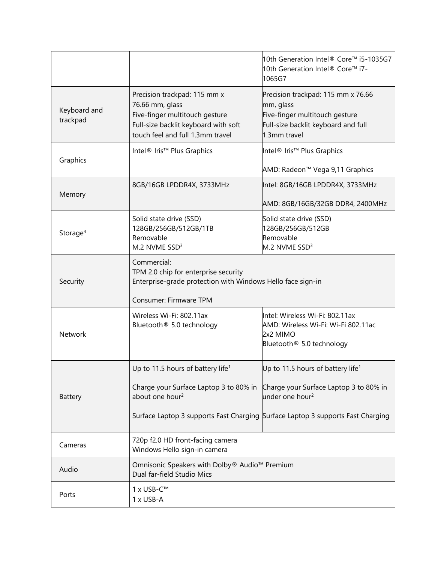|                          |                                                                                                                                                               | 10th Generation Intel® Core™ i5-1035G7<br>10th Generation Intel® Core™ i7-<br>1065G7                                                     |
|--------------------------|---------------------------------------------------------------------------------------------------------------------------------------------------------------|------------------------------------------------------------------------------------------------------------------------------------------|
| Keyboard and<br>trackpad | Precision trackpad: 115 mm x<br>76.66 mm, glass<br>Five-finger multitouch gesture<br>Full-size backlit keyboard with soft<br>touch feel and full 1.3mm travel | Precision trackpad: 115 mm x 76.66<br>mm, glass<br>Five-finger multitouch gesture<br>Full-size backlit keyboard and full<br>1.3mm travel |
| Graphics                 | Intel <sup>®</sup> Iris <sup>™</sup> Plus Graphics                                                                                                            | Intel <sup>®</sup> Iris <sup>™</sup> Plus Graphics<br>AMD: Radeon™ Vega 9,11 Graphics                                                    |
| Memory                   | 8GB/16GB LPDDR4X, 3733MHz                                                                                                                                     | Intel: 8GB/16GB LPDDR4X, 3733MHz<br>AMD: 8GB/16GB/32GB DDR4, 2400MHz                                                                     |
| Storage <sup>4</sup>     | Solid state drive (SSD)<br>128GB/256GB/512GB/1TB<br>Removable<br>M.2 NVME SSD <sup>3</sup>                                                                    | Solid state drive (SSD)<br>128GB/256GB/512GB<br>Removable<br>M.2 NVME SSD <sup>3</sup>                                                   |
| Security                 | Commercial:<br>TPM 2.0 chip for enterprise security<br>Enterprise-grade protection with Windows Hello face sign-in                                            |                                                                                                                                          |
| Network                  | Consumer: Firmware TPM<br>Wireless Wi-Fi: 802.11ax<br>Bluetooth <sup>®</sup> 5.0 technology                                                                   | Intel: Wireless Wi-Fi: 802.11ax<br>AMD: Wireless Wi-Fi: Wi-Fi 802.11ac<br>2x2 MIMO<br>Bluetooth <sup>®</sup> 5.0 technology              |
|                          | Up to 11.5 hours of battery life <sup>1</sup>                                                                                                                 | Up to 11.5 hours of battery life <sup>1</sup>                                                                                            |
| <b>Battery</b>           | Charge your Surface Laptop 3 to 80% in<br>about one hour <sup>2</sup>                                                                                         | Charge your Surface Laptop 3 to 80% in<br>under one hour <sup>2</sup>                                                                    |
|                          |                                                                                                                                                               | Surface Laptop 3 supports Fast Charging Surface Laptop 3 supports Fast Charging                                                          |
| Cameras                  | 720p f2.0 HD front-facing camera<br>Windows Hello sign-in camera                                                                                              |                                                                                                                                          |
| Audio                    | Omnisonic Speakers with Dolby® Audio™ Premium<br>Dual far-field Studio Mics                                                                                   |                                                                                                                                          |
| Ports                    | 1 x USB-C™<br>1 x USB-A                                                                                                                                       |                                                                                                                                          |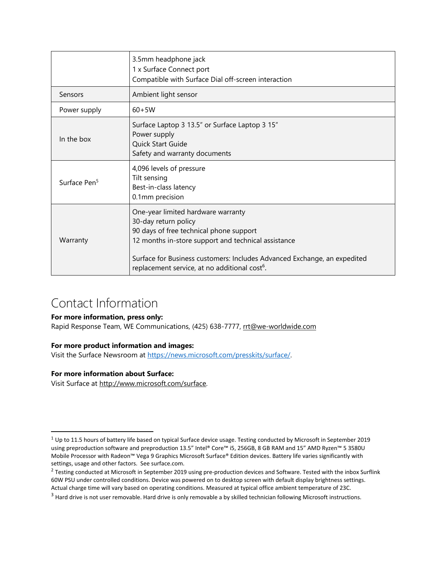|                          | 3.5mm headphone jack<br>1 x Surface Connect port<br>Compatible with Surface Dial off-screen interaction                                                                                                                                                                                               |  |
|--------------------------|-------------------------------------------------------------------------------------------------------------------------------------------------------------------------------------------------------------------------------------------------------------------------------------------------------|--|
| Sensors                  | Ambient light sensor                                                                                                                                                                                                                                                                                  |  |
| Power supply             | $60 + 5W$                                                                                                                                                                                                                                                                                             |  |
| In the box               | Surface Laptop 3 13.5" or Surface Laptop 3 15"<br>Power supply<br>Quick Start Guide<br>Safety and warranty documents                                                                                                                                                                                  |  |
| Surface Pen <sup>5</sup> | 4,096 levels of pressure<br>Tilt sensing<br>Best-in-class latency<br>0.1mm precision                                                                                                                                                                                                                  |  |
| Warranty                 | One-year limited hardware warranty<br>30-day return policy<br>90 days of free technical phone support<br>12 months in-store support and technical assistance<br>Surface for Business customers: Includes Advanced Exchange, an expedited<br>replacement service, at no additional cost <sup>6</sup> . |  |

## Contact Information

#### **For more information, press only:**

Rapid Response Team, WE Communications, (425) 638-7777, [rrt@we-worldwide.com](mailto:rrt@waggeneredstrom.com)

### **For more product information and images:**

Visit the Surface Newsroom at [https://news.microsoft.com/presskits/surface/.](https://news.microsoft.com/presskits/surface/)

### **For more information about Surface:**

Visit Surface at [http://www.microsoft.com/surface.](http://www.microsoft.com/surface)

 $1$  Up to 11.5 hours of battery life based on typical Surface device usage. Testing conducted by Microsoft in September 2019 using preproduction software and preproduction 13.5" Intel® Core™ i5, 256GB, 8 GB RAM and 15" AMD Ryzen™ 5 3580U Mobile Processor with Radeon™ Vega 9 Graphics Microsoft Surface® Edition devices. Battery life varies significantly with settings, usage and other factors. See surface.com.

 $^2$  Testing conducted at Microsoft in September 2019 using pre-production devices and Software. Tested with the inbox Surflink 60W PSU under controlled conditions. Device was powered on to desktop screen with default display brightness settings. Actual charge time will vary based on operating conditions. Measured at typical office ambient temperature of 23C.

<sup>&</sup>lt;sup>3</sup> Hard drive is not user removable. Hard drive is only removable a by skilled technician following Microsoft instructions.